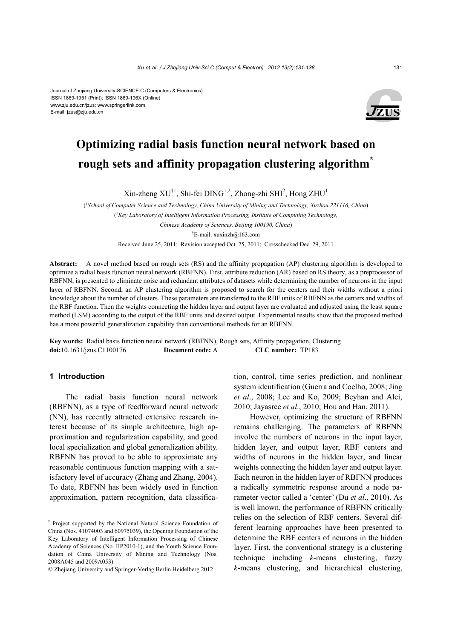#### Journal of Zhejiang University-SCIENCE C (Computers & Electronics) ISSN 1869-1951 (Print); ISSN 1869-196X (Online) www.zju.edu.cn/jzus; www.springerlink.com E-mail: jzus@zju.edu.cn



# **Optimizing radial basis function neural network based on rough sets and affinity propagation clustering algorithm\***

 $\rm{Xin}$ -zheng  $\rm{XU}^{\dagger1}$ , Shi-fei  $\rm{DING}^{1,2}$ , Zhong-zhi  $\rm{SHI}^2$ , Hong  $\rm{ZHU}^1$ 

( *1 School of Computer Science and Technology, China University of Mining and Technology, Xuzhou 221116, China*) ( *2 Key Laboratory of Intelligent Information Processing, Institute of Computing Technology, Chinese Academy of Sciences, Beijing 100190, China*)

† E-mail: xuxinzh@163.com

Received June 25, 2011; Revision accepted Oct. 25, 2011; Crosschecked Dec. 29, 2011

**Abstract:** A novel method based on rough sets (RS) and the affinity propagation (AP) clustering algorithm is developed to optimize a radial basis function neural network (RBFNN). First, attribute reduction (AR) based on RS theory, as a preprocessor of RBFNN, is presented to eliminate noise and redundant attributes of datasets while determining the number of neurons in the input layer of RBFNN. Second, an AP clustering algorithm is proposed to search for the centers and their widths without a priori knowledge about the number of clusters. These parameters are transferred to the RBF units of RBFNN as the centers and widths of the RBF function. Then the weights connecting the hidden layer and output layer are evaluated and adjusted using the least square method (LSM) according to the output of the RBF units and desired output. Experimental results show that the proposed method has a more powerful generalization capability than conventional methods for an RBFNN.

**Key words:** Radial basis function neural network (RBFNN), Rough sets, Affinity propagation, Clustering **doi:**10.1631/jzus.C1100176 **Document code:** A **CLC number:** TP183

# **1 Introduction**

The radial basis function neural network (RBFNN), as a type of feedforward neural network (NN), has recently attracted extensive research interest because of its simple architecture, high approximation and regularization capability, and good local specialization and global generalization ability. RBFNN has proved to be able to approximate any reasonable continuous function mapping with a satisfactory level of accuracy (Zhang and Zhang, 2004). To date, RBFNN has been widely used in function approximation, pattern recognition, data classification, control, time series prediction, and nonlinear system identification (Guerra and Coelho, 2008; Jing *et al*., 2008; Lee and Ko, 2009; Beyhan and Alci, 2010; Jayasree *et al*., 2010; Hou and Han, 2011).

However, optimizing the structure of RBFNN remains challenging. The parameters of RBFNN involve the numbers of neurons in the input layer, hidden layer, and output layer, RBF centers and widths of neurons in the hidden layer, and linear weights connecting the hidden layer and output layer. Each neuron in the hidden layer of RBFNN produces a radically symmetric response around a node parameter vector called a 'center' (Du *et al*., 2010). As is well known, the performance of RBFNN critically relies on the selection of RBF centers. Several different learning approaches have been presented to determine the RBF centers of neurons in the hidden layer. First, the conventional strategy is a clustering technique including *k*-means clustering, fuzzy *k*-means clustering, and hierarchical clustering,

<sup>\*</sup> Project supported by the National Natural Science Foundation of China (Nos. 41074003 and 60975039), the Opening Foundation of the Key Laboratory of Intelligent Information Processing of Chinese Academy of Sciences (No. IIP2010-1), and the Youth Science Foundation of China University of Mining and Technology (Nos. 2008A045 and 2009A053)

<sup>©</sup> Zhejiang University and Springer-Verlag Berlin Heidelberg 2012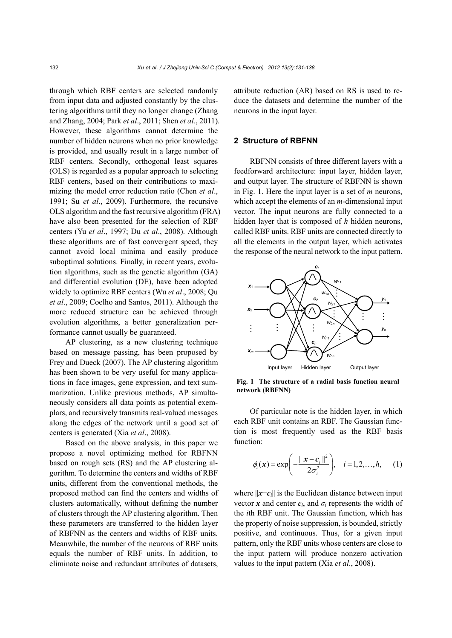through which RBF centers are selected randomly from input data and adjusted constantly by the clustering algorithms until they no longer change (Zhang and Zhang, 2004; Park *et al*., 2011; Shen *et al*., 2011). However, these algorithms cannot determine the number of hidden neurons when no prior knowledge is provided, and usually result in a large number of RBF centers. Secondly, orthogonal least squares (OLS) is regarded as a popular approach to selecting RBF centers, based on their contributions to maximizing the model error reduction ratio (Chen *et al*., 1991; Su *et al*., 2009). Furthermore, the recursive OLS algorithm and the fast recursive algorithm (FRA) have also been presented for the selection of RBF centers (Yu *et al*., 1997; Du *et al*., 2008). Although these algorithms are of fast convergent speed, they cannot avoid local minima and easily produce suboptimal solutions. Finally, in recent years, evolution algorithms, such as the genetic algorithm (GA) and differential evolution (DE), have been adopted widely to optimize RBF centers (Wu *et al*., 2008; Qu *et al*., 2009; Coelho and Santos, 2011). Although the more reduced structure can be achieved through evolution algorithms, a better generalization performance cannot usually be guaranteed.

AP clustering, as a new clustering technique based on message passing, has been proposed by Frey and Dueck (2007). The AP clustering algorithm has been shown to be very useful for many applications in face images, gene expression, and text summarization. Unlike previous methods, AP simultaneously considers all data points as potential exemplars, and recursively transmits real-valued messages along the edges of the network until a good set of centers is generated (Xia *et al*., 2008).

Based on the above analysis, in this paper we propose a novel optimizing method for RBFNN based on rough sets (RS) and the AP clustering algorithm. To determine the centers and widths of RBF units, different from the conventional methods, the proposed method can find the centers and widths of clusters automatically, without defining the number of clusters through the AP clustering algorithm. Then these parameters are transferred to the hidden layer of RBFNN as the centers and widths of RBF units. Meanwhile, the number of the neurons of RBF units equals the number of RBF units. In addition, to eliminate noise and redundant attributes of datasets, attribute reduction (AR) based on RS is used to reduce the datasets and determine the number of the neurons in the input layer.

### **2 Structure of RBFNN**

RBFNN consists of three different layers with a feedforward architecture: input layer, hidden layer, and output layer. The structure of RBFNN is shown in Fig. 1. Here the input layer is a set of *m* neurons, which accept the elements of an *m*-dimensional input vector. The input neurons are fully connected to a hidden layer that is composed of *h* hidden neurons, called RBF units. RBF units are connected directly to all the elements in the output layer, which activates the response of the neural network to the input pattern.



**Fig. 1 The structure of a radial basis function neural network (RBFNN)**

Of particular note is the hidden layer, in which each RBF unit contains an RBF. The Gaussian function is most frequently used as the RBF basis function:

$$
\phi_i(\mathbf{x}) = \exp\left(-\frac{\|\mathbf{x} - \mathbf{c}_i\|^2}{2\sigma_i^2}\right), \quad i = 1, 2, ..., h,
$$
 (1)

where ||*x*−*ci*|| is the Euclidean distance between input vector *x* and center  $c_i$ , and  $\sigma_i$  represents the width of the *i*th RBF unit. The Gaussian function, which has the property of noise suppression, is bounded, strictly positive, and continuous. Thus, for a given input pattern, only the RBF units whose centers are close to the input pattern will produce nonzero activation values to the input pattern (Xia *et al*., 2008).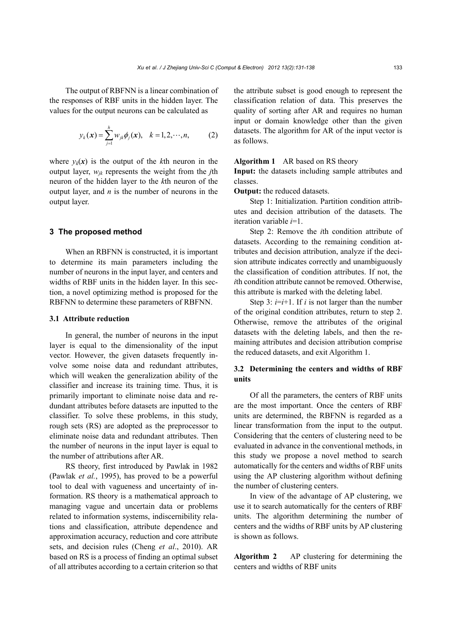The output of RBFNN is a linear combination of the responses of RBF units in the hidden layer. The values for the output neurons can be calculated as

$$
y_k(x) = \sum_{j=1}^h w_{jk} \phi_j(x), \quad k = 1, 2, \dots, n,
$$
 (2)

where  $y_k(x)$  is the output of the *k*th neuron in the output layer, *wjk* represents the weight from the *j*th neuron of the hidden layer to the *k*th neuron of the output layer, and *n* is the number of neurons in the output layer.

## **3 The proposed method**

When an RBFNN is constructed, it is important to determine its main parameters including the number of neurons in the input layer, and centers and widths of RBF units in the hidden layer. In this section, a novel optimizing method is proposed for the RBFNN to determine these parameters of RBFNN.

## **3.1 Attribute reduction**

In general, the number of neurons in the input layer is equal to the dimensionality of the input vector. However, the given datasets frequently involve some noise data and redundant attributes, which will weaken the generalization ability of the classifier and increase its training time. Thus, it is primarily important to eliminate noise data and redundant attributes before datasets are inputted to the classifier. To solve these problems, in this study, rough sets (RS) are adopted as the preprocessor to eliminate noise data and redundant attributes. Then the number of neurons in the input layer is equal to the number of attributions after AR.

RS theory, first introduced by Pawlak in 1982 (Pawlak *et al.*, 1995), has proved to be a powerful tool to deal with vagueness and uncertainty of information. RS theory is a mathematical approach to managing vague and uncertain data or problems related to information systems, indiscernibility relations and classification, attribute dependence and approximation accuracy, reduction and core attribute sets, and decision rules (Cheng *et al*., 2010). AR based on RS is a process of finding an optimal subset of all attributes according to a certain criterion so that the attribute subset is good enough to represent the classification relation of data. This preserves the quality of sorting after AR and requires no human input or domain knowledge other than the given datasets. The algorithm for AR of the input vector is as follows.

## **Algorithm 1** AR based on RS theory

**Input:** the datasets including sample attributes and classes.

**Output:** the reduced datasets.

Step 1: Initialization. Partition condition attributes and decision attribution of the datasets. The iteration variable *i*=1.

Step 2: Remove the *i*th condition attribute of datasets. According to the remaining condition attributes and decision attribution, analyze if the decision attribute indicates correctly and unambiguously the classification of condition attributes. If not, the *i*th condition attribute cannot be removed. Otherwise, this attribute is marked with the deleting label.

Step 3:  $i=i+1$ . If  $i$  is not larger than the number of the original condition attributes, return to step 2. Otherwise, remove the attributes of the original datasets with the deleting labels, and then the remaining attributes and decision attribution comprise the reduced datasets, and exit Algorithm 1.

# **3.2 Determining the centers and widths of RBF units**

Of all the parameters, the centers of RBF units are the most important. Once the centers of RBF units are determined, the RBFNN is regarded as a linear transformation from the input to the output. Considering that the centers of clustering need to be evaluated in advance in the conventional methods, in this study we propose a novel method to search automatically for the centers and widths of RBF units using the AP clustering algorithm without defining the number of clustering centers.

In view of the advantage of AP clustering, we use it to search automatically for the centers of RBF units. The algorithm determining the number of centers and the widths of RBF units by AP clustering is shown as follows.

**Algorithm 2** AP clustering for determining the centers and widths of RBF units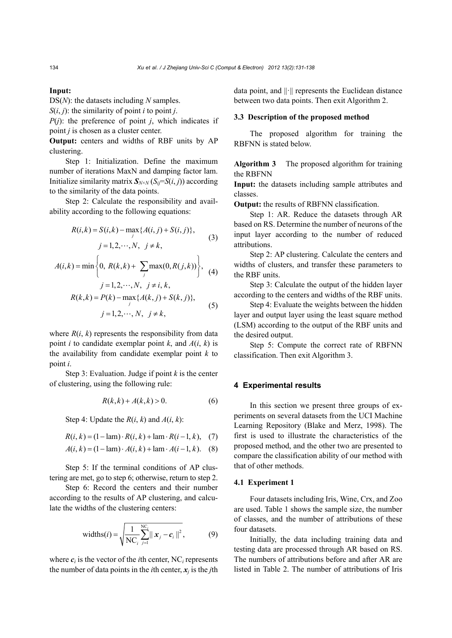#### **Input:**

DS(*N*): the datasets including *N* samples.

*S*( $i$ ,  $j$ ): the similarity of point  $i$  to point  $j$ .

 $P(i)$ : the preference of point *j*, which indicates if point *j* is chosen as a cluster center.

**Output:** centers and widths of RBF units by AP clustering.

Step 1: Initialization. Define the maximum number of iterations MaxN and damping factor lam. Initialize similarity matrix  $S_{N \times N}$  ( $S_{ij} = S(i, j)$ ) according to the similarity of the data points.

Step 2: Calculate the responsibility and availability according to the following equations:

$$
R(i,k) = S(i,k) - \max_{j} \{A(i,j) + S(i,j)\},
$$
  
\n
$$
j = 1, 2, \cdots, N, \ j \neq k,
$$
\n(3)

$$
A(i,k) = \min\left\{0, R(k,k) + \sum_{j} \max(0, R(j,k))\right\}, \quad (4)
$$
  

$$
j = 1, 2, \dots, N, \quad j \neq i, k,
$$

$$
R(k,k) = P(k) - \max_{j} \{A(k,j) + S(k,j)\},
$$
  
\n
$$
j = 1, 2, \cdots, N, \ j \neq k,
$$
 (5)

where  $R(i, k)$  represents the responsibility from data point *i* to candidate exemplar point *k*, and  $A(i, k)$  is the availability from candidate exemplar point *k* to point *i*.

Step 3: Evaluation. Judge if point *k* is the center of clustering, using the following rule:

$$
R(k,k) + A(k,k) > 0.
$$
 (6)

Step 4: Update the  $R(i, k)$  and  $A(i, k)$ :

$$
R(i, k) = (1 - \text{lam}) \cdot R(i, k) + \text{lam} \cdot R(i - 1, k), \quad (7)
$$

$$
A(i, k) = (1 - \text{lam}) \cdot A(i, k) + \text{lam} \cdot A(i - 1, k). \quad (8)
$$

Step 5: If the terminal conditions of AP clustering are met, go to step 6; otherwise, return to step 2.

Step 6: Record the centers and their number according to the results of AP clustering, and calculate the widths of the clustering centers:

$$
\text{widths}(i) = \sqrt{\frac{1}{\text{NC}_i} \sum_{j=1}^{\text{NC}_i} ||\mathbf{x}_j - \mathbf{c}_i||^2},
$$
 (9)

where  $c_i$  is the vector of the *i*th center, NC<sub>*i*</sub> represents the number of data points in the *i*th center,  $\dot{x}$  is the *i*th data point, and ||·|| represents the Euclidean distance between two data points. Then exit Algorithm 2.

## **3.3 Description of the proposed method**

The proposed algorithm for training the RBFNN is stated below.

**Algorithm 3** The proposed algorithm for training the RBFNN

**Input:** the datasets including sample attributes and classes.

**Output:** the results of RBFNN classification.

Step 1: AR. Reduce the datasets through AR based on RS. Determine the number of neurons of the input layer according to the number of reduced attributions.

Step 2: AP clustering. Calculate the centers and widths of clusters, and transfer these parameters to the RBF units.

Step 3: Calculate the output of the hidden layer according to the centers and widths of the RBF units.

Step 4: Evaluate the weights between the hidden layer and output layer using the least square method (LSM) according to the output of the RBF units and the desired output.

Step 5: Compute the correct rate of RBFNN classification. Then exit Algorithm 3.

### **4 Experimental results**

In this section we present three groups of experiments on several datasets from the UCI Machine Learning Repository (Blake and Merz, 1998). The first is used to illustrate the characteristics of the proposed method, and the other two are presented to compare the classification ability of our method with that of other methods.

#### **4.1 Experiment 1**

Four datasets including Iris, Wine, Crx, and Zoo are used. Table 1 shows the sample size, the number of classes, and the number of attributions of these four datasets.

Initially, the data including training data and testing data are processed through AR based on RS. The numbers of attributions before and after AR are listed in Table 2. The number of attributions of Iris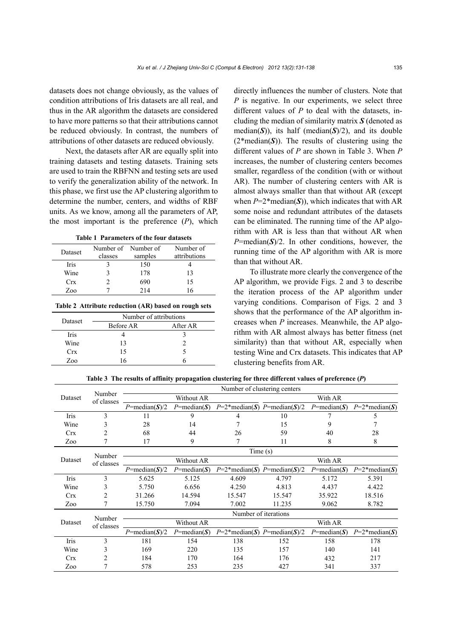datasets does not change obviously, as the values of condition attributions of Iris datasets are all real, and thus in the AR algorithm the datasets are considered to have more patterns so that their attributions cannot be reduced obviously. In contrast, the numbers of attributions of other datasets are reduced obviously.

Next, the datasets after AR are equally split into training datasets and testing datasets. Training sets are used to train the RBFNN and testing sets are used to verify the generalization ability of the network. In this phase, we first use the AP clustering algorithm to determine the number, centers, and widths of RBF units. As we know, among all the parameters of AP, the most important is the preference (*P*), which

|  |  | Table 1 Parameters of the four datasets |  |  |  |
|--|--|-----------------------------------------|--|--|--|
|--|--|-----------------------------------------|--|--|--|

| Dataset     | classes | Number of Number of<br>samples | Number of<br>attributions |
|-------------|---------|--------------------------------|---------------------------|
| <b>Iris</b> |         | 150                            |                           |
| Wine        |         | 178                            | 13                        |
| Crx         |         | 690                            | 15                        |
| Zoo         |         | 214                            |                           |

**Table 2 Attribute reduction (AR) based on rough sets**

| Dataset     | Number of attributions |          |  |
|-------------|------------------------|----------|--|
|             | Before AR              | After AR |  |
| <b>Iris</b> |                        |          |  |
| Wine        | 13                     |          |  |
| <b>Crx</b>  | 15                     |          |  |
| Zoo         |                        |          |  |

directly influences the number of clusters. Note that *P* is negative. In our experiments, we select three different values of *P* to deal with the datasets, including the median of similarity matrix *S* (denoted as median( $\mathbf{S}$ )), its half (median( $\mathbf{S}$ )/2), and its double  $(2*median(S))$ . The results of clustering using the different values of *P* are shown in Table 3. When *P* increases, the number of clustering centers becomes smaller, regardless of the condition (with or without AR). The number of clustering centers with AR is almost always smaller than that without AR (except when  $P=2^*$ median(S)), which indicates that with AR some noise and redundant attributes of the datasets can be eliminated. The running time of the AP algorithm with AR is less than that without AR when *P*=median(*S*)/2. In other conditions, however, the running time of the AP algorithm with AR is more than that without AR.

To illustrate more clearly the convergence of the AP algorithm, we provide Figs. 2 and 3 to describe the iteration process of the AP algorithm under varying conditions. Comparison of Figs. 2 and 3 shows that the performance of the AP algorithm increases when *P* increases. Meanwhile, the AP algorithm with AR almost always has better fitness (net similarity) than that without AR, especially when testing Wine and Crx datasets. This indicates that AP clustering benefits from AR.

**Table 3 The results of affinity propagation clustering for three different values of preference (***P***)** 

|                                 |                      | Number of clustering centers |                   |         |                                    |                 |                 |
|---------------------------------|----------------------|------------------------------|-------------------|---------|------------------------------------|-----------------|-----------------|
| Number<br>Dataset<br>of classes |                      | Without AR                   |                   | With AR |                                    |                 |                 |
|                                 |                      | $P = median(S)/2$            | $P = median(S)$   |         | $P=2^*$ median(S) $P=$ median(S)/2 | $P = median(S)$ | $P=2*median(S)$ |
| Iris                            | 3                    | 11                           | 9                 | 4       | 10                                 |                 | 5               |
| Wine                            | 3                    | 28                           | 14                | 7       | 15                                 | 9               |                 |
| Crx                             |                      | 68                           | 44                | 26      | 59                                 | 40              | 28              |
| Zoo                             |                      | 17                           | 9                 | 7       | 11                                 | 8               | 8               |
|                                 | Number               |                              |                   |         | Time(s)                            |                 |                 |
| Dataset                         | of classes           |                              | <b>Without AR</b> |         |                                    | With AR         |                 |
|                                 |                      | $P = median(S)/2$            | $P = median(S)$   |         | $P=2^*$ median(S) $P=$ median(S)/2 | $P = median(S)$ | $P=2*median(S)$ |
| Iris                            | 3                    | 5.625                        | 5.125             | 4.609   | 4.797                              | 5.172           | 5.391           |
| Wine                            | 3                    | 5.750                        | 6.656             | 4.250   | 4.813                              | 4.437           | 4.422           |
| Crx                             | 2                    | 31.266                       | 14.594            | 15.547  | 15.547                             | 35.922          | 18.516          |
| Zoo                             |                      | 15.750                       | 7.094             | 7.002   | 11.235                             | 9.062           | 8.782           |
|                                 |                      |                              |                   |         | Number of iterations               |                 |                 |
| Dataset                         | Number<br>of classes |                              | <b>Without AR</b> |         |                                    | With AR         |                 |
|                                 |                      | $P = median(S)/2$            | $P = median(S)$   |         | $P=2^*$ median(S) $P=$ median(S)/2 | $P = median(S)$ | $P=2*median(S)$ |
| Iris                            | 3                    | 181                          | 154               | 138     | 152                                | 158             | 178             |
| Wine                            | 3                    | 169                          | 220               | 135     | 157                                | 140             | 141             |
| <b>Crx</b>                      | 2                    | 184                          | 170               | 164     | 176                                | 432             | 217             |
| Zoo                             |                      | 578                          | 253               | 235     | 427                                | 341             | 337             |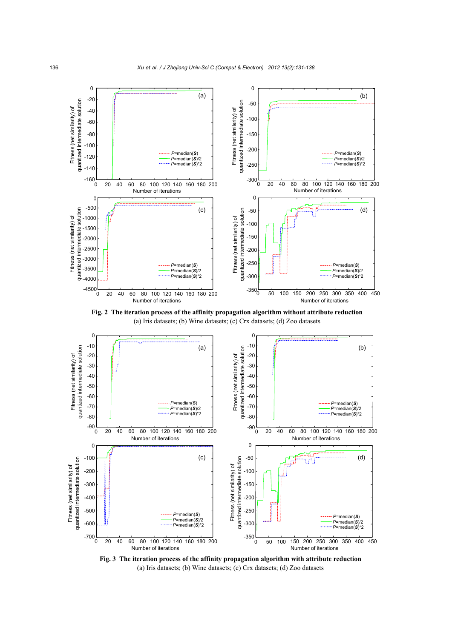

**Fig. 2 The iteration process of the affinity propagation algorithm without attribute reduction**  (a) Iris datasets; (b) Wine datasets; (c) Crx datasets; (d) Zoo datasets



**Fig. 3 The iteration process of the affinity propagation algorithm with attribute reduction**  (a) Iris datasets; (b) Wine datasets; (c) Crx datasets; (d) Zoo datasets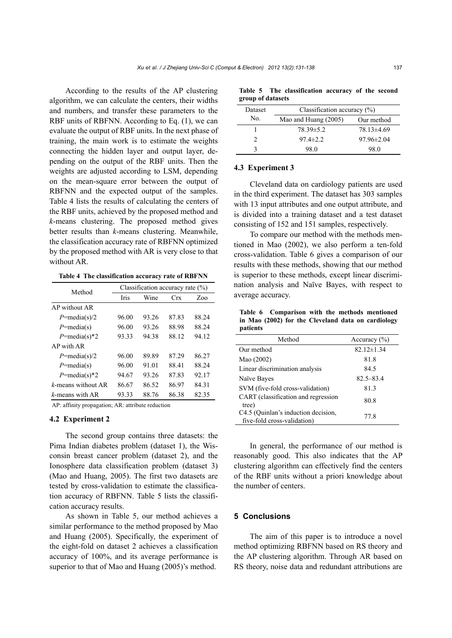According to the results of the AP clustering algorithm, we can calculate the centers, their widths and numbers, and transfer these parameters to the RBF units of RBFNN. According to Eq. (1), we can evaluate the output of RBF units. In the next phase of training, the main work is to estimate the weights connecting the hidden layer and output layer, depending on the output of the RBF units. Then the weights are adjusted according to LSM, depending on the mean-square error between the output of RBFNN and the expected output of the samples. Table 4 lists the results of calculating the centers of the RBF units, achieved by the proposed method and *k*-means clustering. The proposed method gives better results than *k*-means clustering. Meanwhile, the classification accuracy rate of RBFNN optimized by the proposed method with AR is very close to that without AR.

**Table 4 The classification accuracy rate of RBFNN** 

| Method                | Classification accuracy rate $(\%)$ |       |       |       |  |
|-----------------------|-------------------------------------|-------|-------|-------|--|
|                       | Iris                                | Wine  | Crx   | Zoo   |  |
| AP without AR         |                                     |       |       |       |  |
| $P = media(s)/2$      | 96.00                               | 93.26 | 87.83 | 88.24 |  |
| $P = media(s)$        | 96.00                               | 93.26 | 88.98 | 88.24 |  |
| $P = media(s)*2$      | 93.33                               | 94.38 | 88.12 | 94.12 |  |
| AP with AR            |                                     |       |       |       |  |
| $P = media(s)/2$      | 96.00                               | 89.89 | 87.29 | 86.27 |  |
| $P = media(s)$        | 96.00                               | 91.01 | 8841  | 88.24 |  |
| $P = media(s)*2$      | 94.67                               | 93.26 | 8783  | 92.17 |  |
| $k$ -means without AR | 86.67                               | 86.52 | 86.97 | 84 31 |  |
| $k$ -means with AR    | 93.33                               | 88 76 | 86.38 | 82.35 |  |

AP: affinity propagation; AR: attribute reduction

## **4.2 Experiment 2**

The second group contains three datasets: the Pima Indian diabetes problem (dataset 1), the Wisconsin breast cancer problem (dataset 2), and the Ionosphere data classification problem (dataset 3) (Mao and Huang, 2005). The first two datasets are tested by cross-validation to estimate the classification accuracy of RBFNN. Table 5 lists the classification accuracy results.

As shown in Table 5, our method achieves a similar performance to the method proposed by Mao and Huang (2005). Specifically, the experiment of the eight-fold on dataset 2 achieves a classification accuracy of 100%, and its average performance is superior to that of Mao and Huang (2005)'s method.

**Table 5 The classification accuracy of the second group of datasets** 

| Dataset | Classification accuracy $(\% )$ |                  |  |
|---------|---------------------------------|------------------|--|
| No.     | Mao and Huang $(2005)$          | Our method       |  |
|         | $78.39 \pm 5.2$                 | 78.13±4.69       |  |
| 2       | $97.4 \pm 2.2$                  | $97.96 \pm 2.04$ |  |
|         | 98.0                            | 98.0             |  |

#### **4.3 Experiment 3**

Cleveland data on cardiology patients are used in the third experiment. The dataset has 303 samples with 13 input attributes and one output attribute, and is divided into a training dataset and a test dataset consisting of 152 and 151 samples, respectively.

To compare our method with the methods mentioned in Mao (2002), we also perform a ten-fold cross-validation. Table 6 gives a comparison of our results with these methods, showing that our method is superior to these methods, except linear discrimination analysis and Naïve Bayes, with respect to average accuracy.

**Table 6 Comparison with the methods mentioned in Mao (2002) for the Cleveland data on cardiology patients** 

| Method                                                             | Accuracy $(\% )$ |
|--------------------------------------------------------------------|------------------|
| Our method                                                         | $82.12 \pm 1.34$ |
| Mao (2002)                                                         | 81.8             |
| Linear discrimination analysis                                     | 84.5             |
| Naïve Bayes                                                        | $82.5 - 83.4$    |
| SVM (five-fold cross-validation)                                   | 81.3             |
| CART (classification and regression<br>tree)                       | 80.8             |
| C4.5 (Quinlan's induction decision,<br>five-fold cross-validation) | 77.8             |

In general, the performance of our method is reasonably good. This also indicates that the AP clustering algorithm can effectively find the centers of the RBF units without a priori knowledge about the number of centers.

## **5 Conclusions**

The aim of this paper is to introduce a novel method optimizing RBFNN based on RS theory and the AP clustering algorithm. Through AR based on RS theory, noise data and redundant attributions are